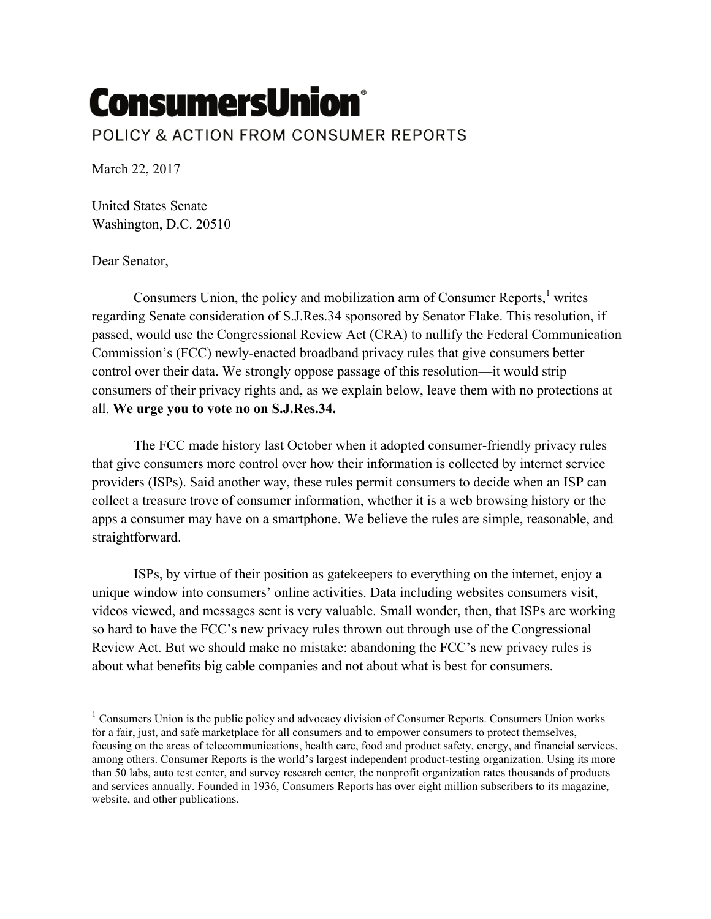## **ConsumersUnion®** POLICY & ACTION FROM CONSUMER REPORTS

March 22, 2017

United States Senate Washington, D.C. 20510

Dear Senator,

Consumers Union, the policy and mobilization arm of Consumer Reports,<sup>1</sup> writes regarding Senate consideration of S.J.Res.34 sponsored by Senator Flake. This resolution, if passed, would use the Congressional Review Act (CRA) to nullify the Federal Communication Commission's (FCC) newly-enacted broadband privacy rules that give consumers better control over their data. We strongly oppose passage of this resolution—it would strip consumers of their privacy rights and, as we explain below, leave them with no protections at all. **We urge you to vote no on S.J.Res.34.**

The FCC made history last October when it adopted consumer-friendly privacy rules that give consumers more control over how their information is collected by internet service providers (ISPs). Said another way, these rules permit consumers to decide when an ISP can collect a treasure trove of consumer information, whether it is a web browsing history or the apps a consumer may have on a smartphone. We believe the rules are simple, reasonable, and straightforward.

ISPs, by virtue of their position as gatekeepers to everything on the internet, enjoy a unique window into consumers' online activities. Data including websites consumers visit, videos viewed, and messages sent is very valuable. Small wonder, then, that ISPs are working so hard to have the FCC's new privacy rules thrown out through use of the Congressional Review Act. But we should make no mistake: abandoning the FCC's new privacy rules is about what benefits big cable companies and not about what is best for consumers.

 $1$  Consumers Union is the public policy and advocacy division of Consumer Reports. Consumers Union works for a fair, just, and safe marketplace for all consumers and to empower consumers to protect themselves, focusing on the areas of telecommunications, health care, food and product safety, energy, and financial services, among others. Consumer Reports is the world's largest independent product-testing organization. Using its more than 50 labs, auto test center, and survey research center, the nonprofit organization rates thousands of products and services annually. Founded in 1936, Consumers Reports has over eight million subscribers to its magazine, website, and other publications.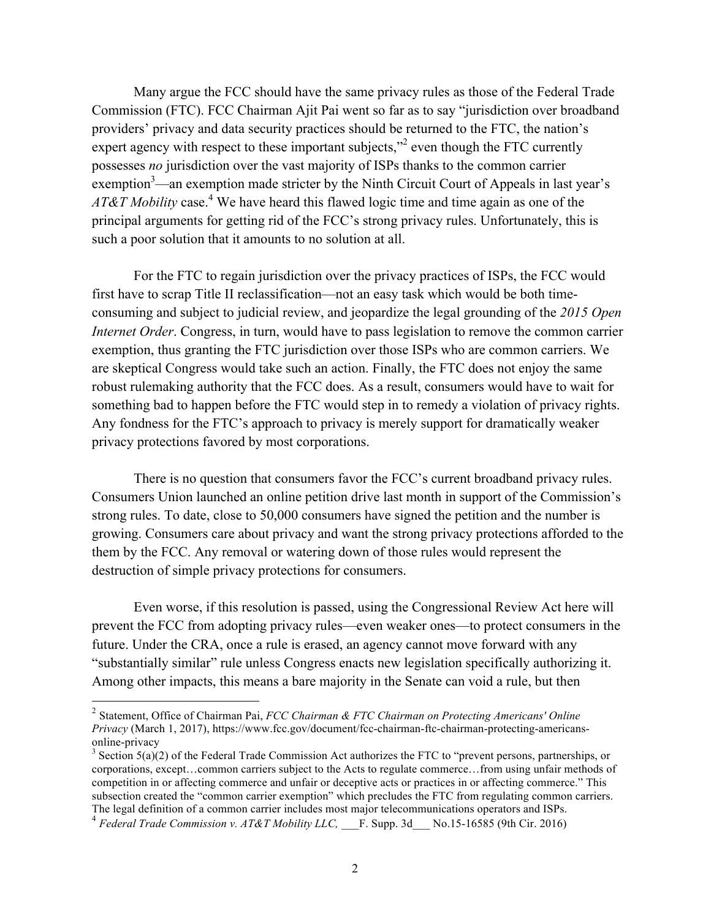Many argue the FCC should have the same privacy rules as those of the Federal Trade Commission (FTC). FCC Chairman Ajit Pai went so far as to say "jurisdiction over broadband providers' privacy and data security practices should be returned to the FTC, the nation's expert agency with respect to these important subjects, $\frac{1}{2}$  even though the FTC currently possesses *no* jurisdiction over the vast majority of ISPs thanks to the common carrier exemption<sup>3</sup>—an exemption made stricter by the Ninth Circuit Court of Appeals in last year's *AT&T Mobility* case.<sup>4</sup> We have heard this flawed logic time and time again as one of the principal arguments for getting rid of the FCC's strong privacy rules. Unfortunately, this is such a poor solution that it amounts to no solution at all.

For the FTC to regain jurisdiction over the privacy practices of ISPs, the FCC would first have to scrap Title II reclassification—not an easy task which would be both timeconsuming and subject to judicial review, and jeopardize the legal grounding of the *2015 Open Internet Order*. Congress, in turn, would have to pass legislation to remove the common carrier exemption, thus granting the FTC jurisdiction over those ISPs who are common carriers. We are skeptical Congress would take such an action. Finally, the FTC does not enjoy the same robust rulemaking authority that the FCC does. As a result, consumers would have to wait for something bad to happen before the FTC would step in to remedy a violation of privacy rights. Any fondness for the FTC's approach to privacy is merely support for dramatically weaker privacy protections favored by most corporations.

There is no question that consumers favor the FCC's current broadband privacy rules. Consumers Union launched an online petition drive last month in support of the Commission's strong rules. To date, close to 50,000 consumers have signed the petition and the number is growing. Consumers care about privacy and want the strong privacy protections afforded to the them by the FCC. Any removal or watering down of those rules would represent the destruction of simple privacy protections for consumers.

Even worse, if this resolution is passed, using the Congressional Review Act here will prevent the FCC from adopting privacy rules—even weaker ones—to protect consumers in the future. Under the CRA, once a rule is erased, an agency cannot move forward with any "substantially similar" rule unless Congress enacts new legislation specifically authorizing it. Among other impacts, this means a bare majority in the Senate can void a rule, but then

 

<sup>2</sup> Statement, Office of Chairman Pai, *FCC Chairman & FTC Chairman on Protecting Americans' Online Privacy* (March 1, 2017), https://www.fcc.gov/document/fcc-chairman-ftc-chairman-protecting-americansonline-privacy<br><sup>3</sup> Section 5(a)(2) of the Federal Trade Commission Act authorizes the FTC to "prevent persons, partnerships, or

corporations, except…common carriers subject to the Acts to regulate commerce…from using unfair methods of competition in or affecting commerce and unfair or deceptive acts or practices in or affecting commerce." This subsection created the "common carrier exemption" which precludes the FTC from regulating common carriers. The legal definition of a common carrier includes most major telecommunications operators and ISPs.

<sup>4</sup> *Federal Trade Commission v. AT&T Mobility LLC,* \_\_\_F. Supp. 3d\_\_\_ No.15-16585 (9th Cir. 2016)